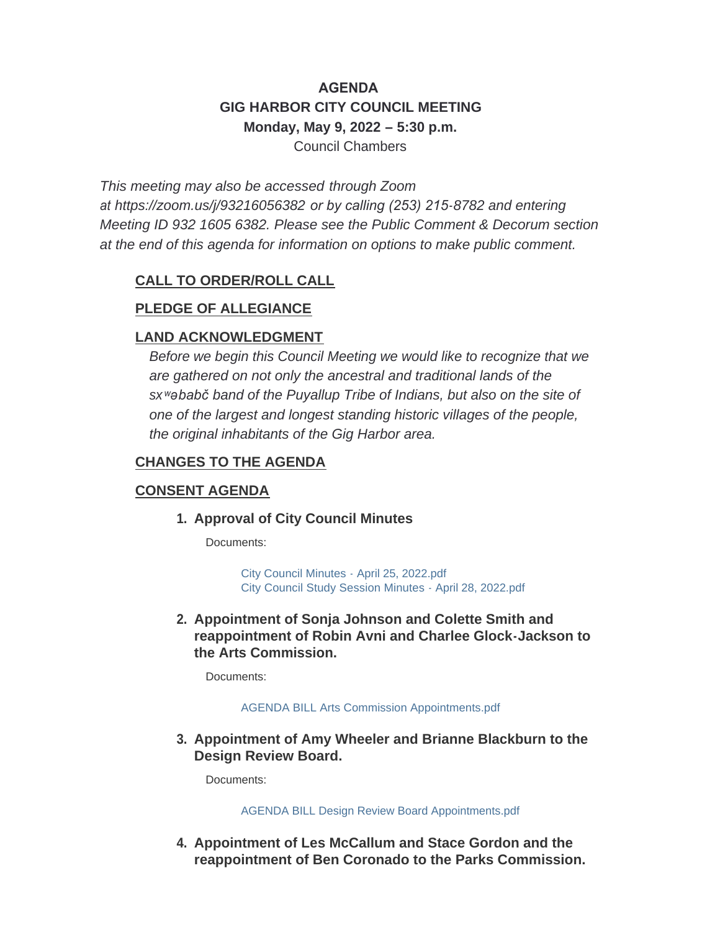# **AGENDA GIG HARBOR CITY COUNCIL MEETING Monday, May 9, 2022 – 5:30 p.m.** Council Chambers

*This meeting may also be accessed through Zoom at <https://zoom.us/j/93216056382> or by calling (253) 215-8782 and entering Meeting ID 932 1605 6382. Please see the Public Comment & Decorum section at the end of this agenda for information on options to make public comment.*

## **CALL TO ORDER/ROLL CALL**

## **PLEDGE OF ALLEGIANCE**

# **LAND ACKNOWLEDGMENT**

*Before we begin this Council Meeting we would like to recognize that we are gathered on not only the ancestral and traditional lands of the sxʷəbabč band of the Puyallup Tribe of Indians, but also on the site of one of the largest and longest standing historic villages of the people, the original inhabitants of the Gig Harbor area.*

# **CHANGES TO THE AGENDA**

## **CONSENT AGENDA**

## **Approval of City Council Minutes 1.**

Documents:

[City Council Minutes - April 25, 2022.pdf](http://www.cityofgigharbor.net/AgendaCenter/ViewFile/Item/963?fileID=1908) [City Council Study Session Minutes - April 28, 2022.pdf](http://www.cityofgigharbor.net/AgendaCenter/ViewFile/Item/963?fileID=1909)

**Appointment of Sonja Johnson and Colette Smith and 2. reappointment of Robin Avni and Charlee Glock-Jackson to the Arts Commission.**

Documents:

#### [AGENDA BILL Arts Commission Appointments.pdf](http://www.cityofgigharbor.net/AgendaCenter/ViewFile/Item/957?fileID=1912)

**Appointment of Amy Wheeler and Brianne Blackburn to the 3. Design Review Board.**

Documents:

[AGENDA BILL Design Review Board Appointments.pdf](http://www.cityofgigharbor.net/AgendaCenter/ViewFile/Item/958?fileID=1913)

**Appointment of Les McCallum and Stace Gordon and the 4. reappointment of Ben Coronado to the Parks Commission.**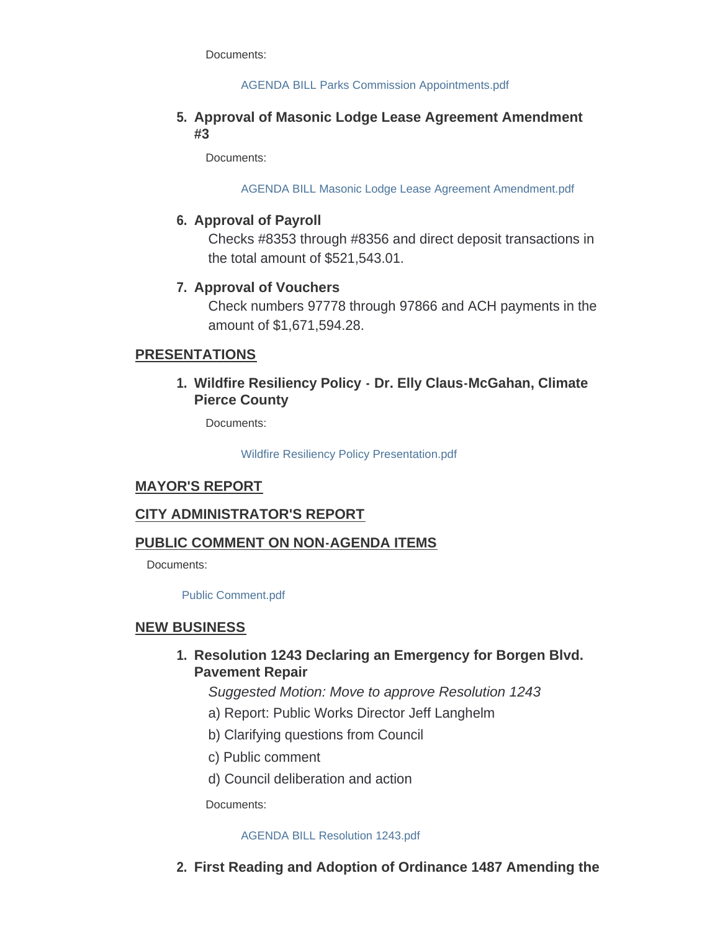Documents:

#### [AGENDA BILL Parks Commission Appointments.pdf](http://www.cityofgigharbor.net/AgendaCenter/ViewFile/Item/959?fileID=1911)

### **Approval of Masonic Lodge Lease Agreement Amendment 5. #3**

Documents:

[AGENDA BILL Masonic Lodge Lease Agreement Amendment.pdf](http://www.cityofgigharbor.net/AgendaCenter/ViewFile/Item/956?fileID=1914)

### **Approval of Payroll 6.**

Checks #8353 through #8356 and direct deposit transactions in the total amount of \$521,543.01.

### **Approval of Vouchers 7.**

Check numbers 97778 through 97866 and ACH payments in the amount of \$1,671,594.28.

### **PRESENTATIONS**

### **Wildfire Resiliency Policy - Dr. Elly Claus-McGahan, Climate 1. Pierce County**

Documents:

[Wildfire Resiliency Policy Presentation.pdf](http://www.cityofgigharbor.net/AgendaCenter/ViewFile/Item/960?fileID=1905)

### **MAYOR'S REPORT**

## **CITY ADMINISTRATOR'S REPORT**

### **PUBLIC COMMENT ON NON-AGENDA ITEMS**

Documents:

[Public Comment.pdf](http://www.cityofgigharbor.net/AgendaCenter/ViewFile/Item/951?fileID=1924)

### **NEW BUSINESS**

## **Resolution 1243 Declaring an Emergency for Borgen Blvd. 1. Pavement Repair**

*Suggested Motion: Move to approve Resolution 1243*

- a) Report: Public Works Director Jeff Langhelm
- b) Clarifying questions from Council
- c) Public comment
- d) Council deliberation and action

Documents:

#### [AGENDA BILL Resolution 1243.pdf](http://www.cityofgigharbor.net/AgendaCenter/ViewFile/Item/961?fileID=1906)

**First Reading and Adoption of Ordinance 1487 Amending the 2.**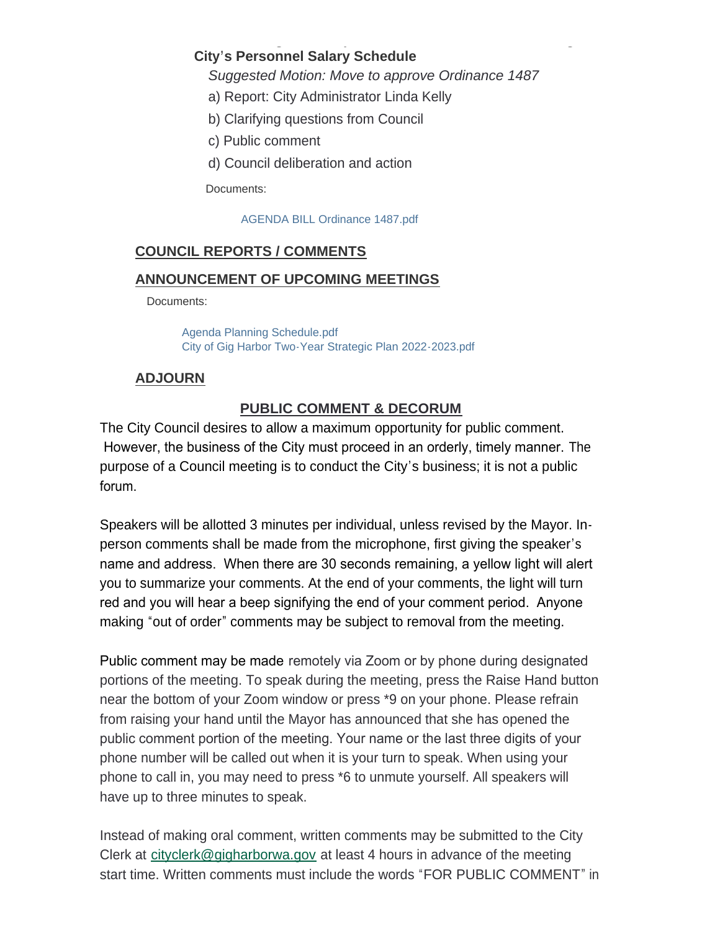#### **First Reading and Adoption of Ordinance 1487 Amending the City's Personnel Salary Schedule**

*Suggested Motion: Move to approve Ordinance 1487*

- a) Report: City Administrator Linda Kelly
- b) Clarifying questions from Council
- c) Public comment
- d) Council deliberation and action

Documents:

[AGENDA BILL Ordinance 1487.pdf](http://www.cityofgigharbor.net/AgendaCenter/ViewFile/Item/962?fileID=1907)

### **COUNCIL REPORTS / COMMENTS**

### **ANNOUNCEMENT OF UPCOMING MEETINGS**

Documents:

[Agenda Planning Schedule.pdf](http://www.cityofgigharbor.net/AgendaCenter/ViewFile/Item/954?fileID=1917) [City of Gig Harbor Two-Year Strategic Plan 2022-2023.pdf](http://www.cityofgigharbor.net/AgendaCenter/ViewFile/Item/954?fileID=1916)

# **ADJOURN**

# **PUBLIC COMMENT & DECORUM**

The City Council desires to allow a maximum opportunity for public comment. However, the business of the City must proceed in an orderly, timely manner. The purpose of a Council meeting is to conduct the City's business; it is not a public forum.

Speakers will be allotted 3 minutes per individual, unless revised by the Mayor. Inperson comments shall be made from the microphone, first giving the speaker's name and address. When there are 30 seconds remaining, a yellow light will alert you to summarize your comments. At the end of your comments, the light will turn red and you will hear a beep signifying the end of your comment period. Anyone making "out of order" comments may be subject to removal from the meeting.

Public comment may be made remotely via Zoom or by phone during designated portions of the meeting. To speak during the meeting, press the Raise Hand button near the bottom of your Zoom window or press \*9 on your phone. Please refrain from raising your hand until the Mayor has announced that she has opened the public comment portion of the meeting. Your name or the last three digits of your phone number will be called out when it is your turn to speak. When using your phone to call in, you may need to press \*6 to unmute yourself. All speakers will have up to three minutes to speak.

Instead of making oral comment, written comments may be submitted to the City Clerk at [cityclerk@gigharborwa.gov](mailto:cityclerk@gigharborwa.gov) at least 4 hours in advance of the meeting start time. Written comments must include the words "FOR PUBLIC COMMENT" in